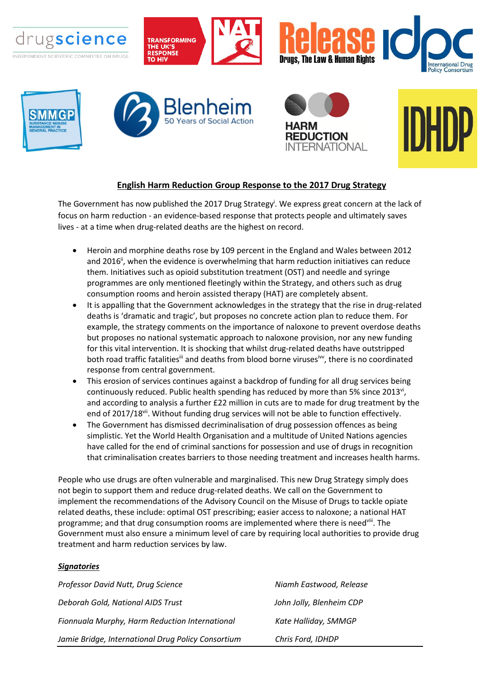

## **English Harm Reduction Group Response to the 2017 Drug Strategy**

The Government has now published the 2017 Drug Strategy<sup>i</sup>. We express great concern at the lack of focus on harm reduction - an evidence-based response that protects people and ultimately saves lives - at a time when drug-related deaths are the highest on record.

- Heroin and morphine deaths rose by 109 percent in the England and Wales between 2012 and 2016<sup>ii</sup>, when the evidence is overwhelming that harm reduction initiatives can reduce them. Initiatives such as opioid substitution treatment (OST) and needle and syringe programmes are only mentioned fleetingly within the Strategy, and others such as drug consumption rooms and heroin assisted therapy (HAT) are completely absent.
- It is appalling that the Government acknowledges in the strategy that the rise in drug-related deaths is 'dramatic and tragic', but proposes no concrete action plan to reduce them. For example, the strategy comments on the importance of naloxone to prevent overdose deaths but proposes no national systematic approach to naloxone provision, nor any new funding for this vital intervention. It is shocking that whilst drug-related deaths have outstripped both road traffic fatalities<sup>iii</sup> and deaths from blood borne viruses<sup>iw</sup>, there is no coordinated response from central government.
- This erosion of services continues against a backdrop of funding for all drug services being continuously reduced. Public health spending has reduced by more than 5% since 2013vi, and according to analysis a further £22 million in cuts are to made for drug treatment by the end of 2017/18vii. Without funding drug services will not be able to function effectively.
- The Government has dismissed decriminalisation of drug possession offences as being simplistic. Yet the World Health Organisation and a multitude of United Nations agencies have called for the end of criminal sanctions for possession and use of drugs in recognition that criminalisation creates barriers to those needing treatment and increases health harms.

People who use drugs are often vulnerable and marginalised. This new Drug Strategy simply does not begin to support them and reduce drug-related deaths. We call on the Government to implement the recommendations of the Advisory Council on the Misuse of Drugs to tackle opiate related deaths, these include: optimal OST prescribing; easier access to naloxone; a national HAT programme; and that drug consumption rooms are implemented where there is need<sup>viii</sup>. The Government must also ensure a minimum level of care by requiring local authorities to provide drug treatment and harm reduction services by law.

## *Signatories*

| Professor David Nutt, Drug Science                 | Niamh Eastwood, Release  |
|----------------------------------------------------|--------------------------|
| Deborah Gold, National AIDS Trust                  | John Jolly, Blenheim CDP |
| Fionnuala Murphy, Harm Reduction International     | Kate Halliday, SMMGP     |
| Jamie Bridge, International Drug Policy Consortium | Chris Ford, IDHDP        |